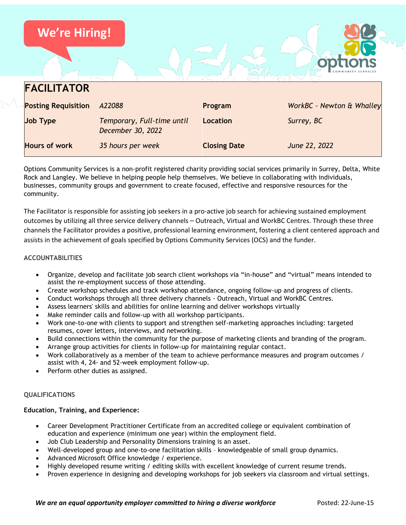| <b>We're Hiring!</b>       |                                                 |                     |                           |
|----------------------------|-------------------------------------------------|---------------------|---------------------------|
|                            |                                                 |                     |                           |
| <b>FACILITATOR</b>         |                                                 |                     |                           |
| <b>Posting Requisition</b> | A22088                                          | Program             | WorkBC - Newton & Whalley |
| <b>Job Type</b>            | Temporary, Full-time until<br>December 30, 2022 | Location            | Surrey, BC                |
| <b>Hours of work</b>       | 35 hours per week                               | <b>Closing Date</b> | June 22, 2022             |

Options Community Services is a non-profit registered charity providing social services primarily in Surrey, Delta, White Rock and Langley. We believe in helping people help themselves. We believe in collaborating with individuals, businesses, community groups and government to create focused, effective and responsive resources for the community.

The Facilitator is responsible for assisting job seekers in a pro-active job search for achieving sustained employment outcomes by utilizing all three service delivery channels – Outreach, Virtual and WorkBC Centres. Through these three channels the Facilitator provides a positive, professional learning environment, fostering a client centered approach and assists in the achievement of goals specified by Options Community Services (OCS) and the funder.

## **ACCOUNTABILITIES**

- Organize, develop and facilitate job search client workshops via "in-house" and "virtual" means intended to assist the re-employment success of those attending.
- Create workshop schedules and track workshop attendance, ongoing follow-up and progress of clients.
- Conduct workshops through all three delivery channels Outreach, Virtual and WorkBC Centres.
- Assess learners' skills and abilities for online learning and deliver workshops virtually
- Make reminder calls and follow-up with all workshop participants.
- Work one-to-one with clients to support and strengthen self-marketing approaches including: targeted resumes, cover letters, interviews, and networking.
- Build connections within the community for the purpose of marketing clients and branding of the program.
- Arrange group activities for clients in follow-up for maintaining regular contact.
- Work collaboratively as a member of the team to achieve performance measures and program outcomes / assist with 4, 24- and 52-week employment follow-up.
- Perform other duties as assigned.

### **QUALIFICATIONS**

### **Education, Training, and Experience:**

- Career Development Practitioner Certificate from an accredited college or equivalent combination of education and experience (minimum one year) within the employment field.
- Job Club Leadership and Personality Dimensions training is an asset.
- Well-developed group and one-to-one facilitation skills knowledgeable of small group dynamics.
- Advanced Microsoft Office knowledge / experience.
- Highly developed resume writing / editing skills with excellent knowledge of current resume trends.
- Proven experience in designing and developing workshops for job seekers via classroom and virtual settings.